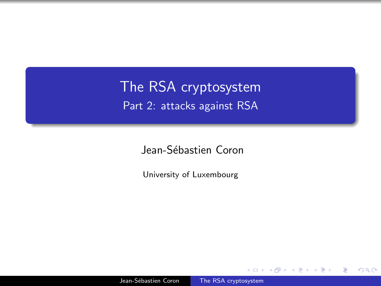<span id="page-0-0"></span>The RSA cryptosystem Part 2: attacks against RSA

Jean-Sébastien Coron

University of Luxembourg

つくへ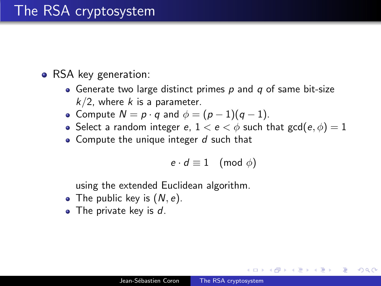### The RSA cryptosystem

- RSA key generation:
	- Generate two large distinct primes  $p$  and  $q$  of same bit-size  $k/2$ , where k is a parameter.
	- Compute  $N = p \cdot q$  and  $\phi = (p-1)(q-1)$ .
	- Select a random integer e,  $1 < e < \phi$  such that  $gcd(e, \phi) = 1$
	- Compute the unique integer  $d$  such that

$$
e \cdot d \equiv 1 \pmod{\phi}
$$

 $200$ 

using the extended Euclidean algorithm.

- The public key is  $(N, e)$ .
- $\bullet$  The private key is  $d$ .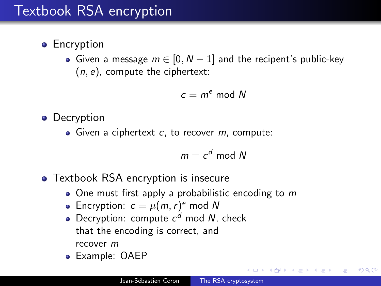# Textbook RSA encryption

- **•** Encryption
	- Given a message  $m \in [0, N-1]$  and the recipent's public-key  $(n, e)$ , compute the ciphertext:

$$
c=m^e \bmod N
$$

• Decryption

 $\bullet$  Given a ciphertext c, to recover m, compute:

$$
m = c^d \bmod N
$$

- Textbook RSA encryption is insecure
	- $\bullet$  One must first apply a probabilistic encoding to m
	- Encryption:  $c = \mu(m, r)$ <sup>e</sup> mod N
	- Decryption: compute  $c<sup>d</sup>$  mod N, check that the encoding is correct, and recover m
	- Example: OAEP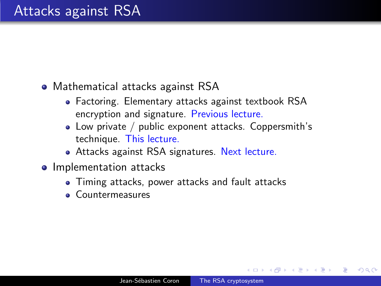• Mathematical attacks against RSA

- Factoring. Elementary attacks against textbook RSA encryption and signature. Previous lecture.
- Low private / public exponent attacks. Coppersmith's technique. This lecture.
- Attacks against RSA signatures. Next lecture.
- Implementation attacks
	- Timing attacks, power attacks and fault attacks
	- Countermeasures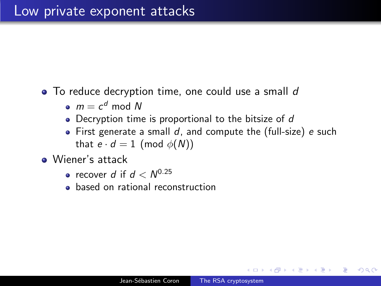- To reduce decryption time, one could use a small d
	- $m = c^d \mod N$
	- Decryption time is proportional to the bitsize of d
	- $\bullet$  First generate a small d, and compute the (full-size) e such that  $e \cdot d = 1 \pmod{\phi(N)}$
- Wiener's attack
	- recover d if  $d < N^{0.25}$
	- based on rational reconstruction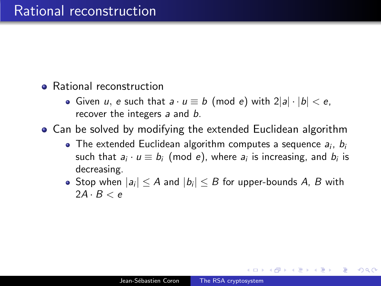- **•** Rational reconstruction
	- Given u, e such that  $a \cdot u \equiv b \pmod{e}$  with  $2|a| \cdot |b| < e$ , recover the integers a and b.

Can be solved by modifying the extended Euclidean algorithm

- The extended Euclidean algorithm computes a sequence  $a_i$ ,  $b_i$ such that  $a_i \cdot u \equiv b_i \pmod{e}$ , where  $a_i$  is increasing, and  $b_i$  is decreasing.
- Stop when  $|a_i|\leq A$  and  $|b_i|\leq B$  for upper-bounds  $A$ ,  $B$  with  $2A \cdot B < e$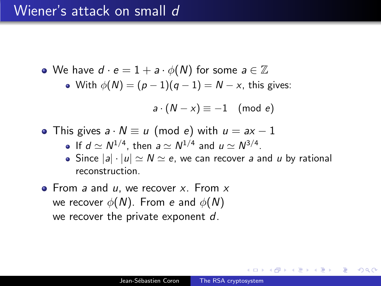#### Wiener's attack on small d

• We have  $d \cdot e = 1 + a \cdot \phi(N)$  for some  $a \in \mathbb{Z}$ • With  $\phi(N) = (p-1)(q-1) = N - x$ , this gives:  $a \cdot (N - x) \equiv -1 \pmod{e}$ 

- This gives  $a \cdot N \equiv u \pmod{e}$  with  $u = ax 1$ 
	- If  $d \simeq N^{1/4}$ , then  $a \simeq N^{1/4}$  and  $u \simeq N^{3/4}$ .
	- Since  $|a| \cdot |u| \simeq N \simeq e$ , we can recover a and u by rational reconstruction.
- $\bullet$  From a and u, we recover x. From x we recover  $\phi(N)$ . From e and  $\phi(N)$ we recover the private exponent d.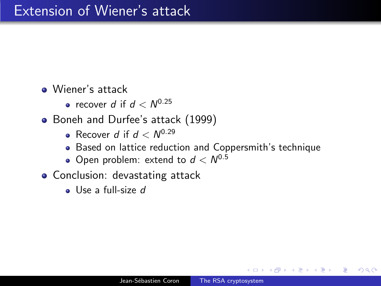Wiener's attack

- recover d if  $d < N^{0.25}$
- Boneh and Durfee's attack (1999)
	- Recover d if  $d < N^{0.29}$
	- Based on lattice reduction and Coppersmith's technique
	- Open problem: extend to  $d < N^{0.5}$
- Conclusion: devastating attack
	- Use a full-size d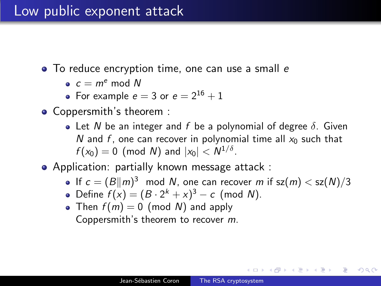### Low public exponent attack

- To reduce encryption time, one can use a small e
	- $c \equiv m^e \mod N$
	- For example  $e = 3$  or  $e = 2^{16} + 1$
- Coppersmith's theorem :
	- Let N be an integer and f be a polynomial of degree  $\delta$ . Given N and f, one can recover in polynomial time all  $x_0$  such that  $f(x_0) = 0 \pmod{N}$  and  $|x_0| < N^{1/\delta}$ .
- Application: partially known message attack :
	- If  $c = (B||m)^3 \mod N$ , one can recover m if sz $(m) <$  sz $(N)/3$

- Define  $f(x) = (B \cdot 2^{k} + x)^{3} c$  (mod N).
- Then  $f(m) = 0$  (mod N) and apply Coppersmith's theorem to recover m.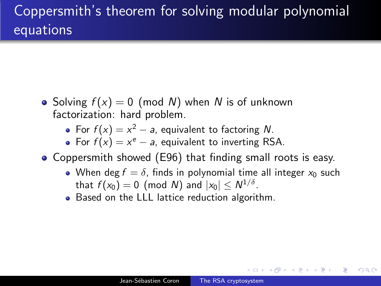# Coppersmith's theorem for solving modular polynomial equations

- Solving  $f(x) = 0$  (mod N) when N is of unknown factorization: hard problem.
	- For  $f(x) = x^2 a$ , equivalent to factoring N.
	- For  $f(x) = x^e a$ , equivalent to inverting RSA.
- Coppersmith showed (E96) that finding small roots is easy.
	- When deg  $f = \delta$ , finds in polynomial time all integer  $x_0$  such that  $f(x_0)=0$  (mod  $N$ ) and  $|x_0|\leq N^{1/\delta}.$
	- Based on the LLL lattice reduction algorithm.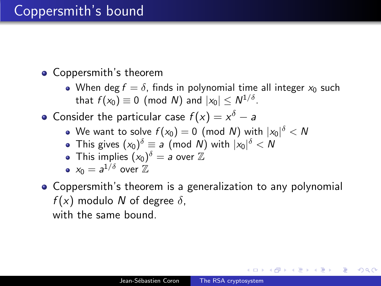## Coppersmith's bound

#### Coppersmith's theorem

• When deg  $f = \delta$ , finds in polynomial time all integer  $x_0$  such that  $f(x_0)\equiv 0\pmod{N}$  and  $|x_0|\leq N^{1/\delta}.$ 

Consider the particular case  $f(x) = x^{\delta} - a$ 

- We want to solve  $f(\mathsf{x}_0)=0$  (mod  $\mathsf{N})$  with  $|\mathsf{x}_0|^\delta<\mathsf{N}$
- This gives  $(x_0)^\delta \equiv a \pmod{N}$  with  $|x_0|^\delta < N$
- This implies  $(x_0)^\delta = a$  over  $\mathbb Z$

• 
$$
x_0 = a^{1/\delta}
$$
 over  $\mathbb{Z}$ 

Coppersmith's theorem is a generalization to any polynomial  $f(x)$  modulo N of degree  $\delta$ , with the same bound.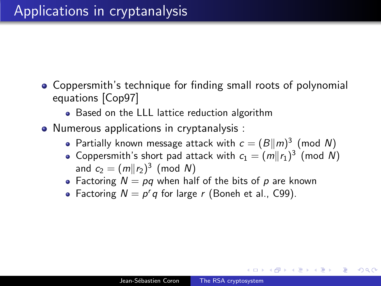- Coppersmith's technique for finding small roots of polynomial equations [Cop97]
	- Based on the LLL lattice reduction algorithm
- Numerous applications in cryptanalysis :
	- Partially known message attack with  $c = (B||m)^3$  (mod N)
	- Coppersmith's short pad attack with  $c_1 = (m||r_1)^3$  (mod N) and  $c_2 = (m || r_2)^3 \pmod{N}$
	- Factoring  $N = pq$  when half of the bits of p are known
	- Factoring  $N = p^r q$  for large r (Boneh et al., C99).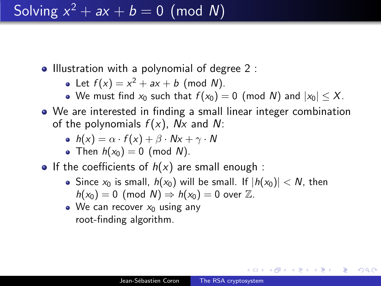# Solving  $x^2 + ax + b = 0 \pmod{N}$

- Illustration with a polynomial of degree 2 :
	- Let  $f(x) = x^2 + ax + b$  (mod N).
	- We must find  $x_0$  such that  $f(x_0) = 0$  (mod N) and  $|x_0| \leq X$ .
- We are interested in finding a small linear integer combination of the polynomials  $f(x)$ , Nx and N:

• 
$$
h(x) = \alpha \cdot f(x) + \beta \cdot Nx + \gamma \cdot N
$$

- Then  $h(x_0) = 0$  (mod N).
- If the coefficients of  $h(x)$  are small enough :
	- Since  $x_0$  is small,  $h(x_0)$  will be small. If  $|h(x_0)| < N$ , then  $h(x_0) = 0$  (mod  $N$ )  $\Rightarrow h(x_0) = 0$  over  $\mathbb{Z}$ .
	- We can recover  $x_0$  using any root-finding algorithm.

∢何 ▶ ∢ ヨ ▶ ∢ ヨ ▶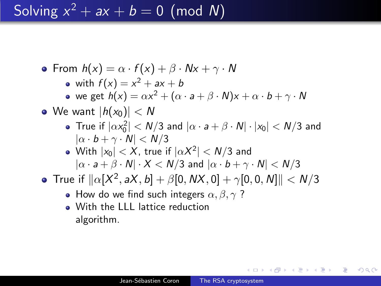# Solving  $x^2 + ax + b = 0 \pmod{N}$

• From  $h(x) = \alpha \cdot f(x) + \beta \cdot Nx + \gamma \cdot N$ with  $f(x) = x^2 + ax + b$ we get  $h(x) = \alpha x^2 + (\alpha \cdot a + \beta \cdot N)x + \alpha \cdot b + \gamma \cdot N$ • We want  $|h(x_0)| < N$ True if  $|\alpha x_0^2|$   $<$   $\mathcal{N}/3$  and  $|\alpha \cdot \mathsf{a} + \beta \cdot \mathsf{N}| \cdot |x_0|$   $<$   $\mathcal{N}/3$  and  $|\alpha \cdot b + \gamma \cdot N| < N/3$ With  $|x_0| < X$ , true if  $|\alpha X^2| < {\mathit N}/3$  and  $|\alpha \cdot a + \beta \cdot N| \cdot X < N/3$  and  $|\alpha \cdot b + \gamma \cdot N| < N/3$ True if  $\|\alpha[X^2, aX, b] + \beta[0, \mathsf{N}X, 0] + \gamma[0, 0, N]\| < \mathsf{N}/3$ • How do we find such integers  $\alpha, \beta, \gamma$ ? • With the LLL lattice reduction

algorithm.

∢何 ▶ ∢ ヨ ▶ ∢ ヨ ▶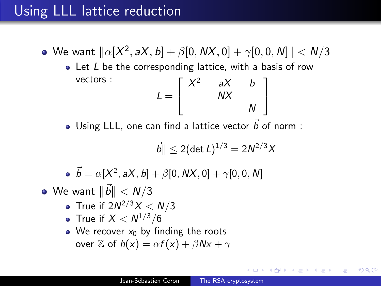## Using LLL lattice reduction

- We want  $\| \alpha[X^2, \mathsf{a} X, \mathsf{b}] + \beta[0, \mathsf{N} X, 0] + \gamma[0, 0, N] \| < \mathsf{N}/3$ 
	- $\bullet$  Let L be the corresponding lattice, with a basis of row vectors :  $L =$  $\sqrt{ }$  $\overline{1}$  $X^2$  aX b NX N 1  $\overline{1}$
	- Using LLL, one can find a lattice vector  $\vec{b}$  of norm :

$$
\|\vec{b}\| \leq 2(\det L)^{1/3} = 2N^{2/3}X
$$

 $\vec{b} = \alpha[X^2, aX, b] + \beta[0, \textit{NX}, 0] + \gamma[0, 0, N]$ 

- We want  $\|\vec{b}\| < \mathit{N}/3$ 
	- True if 2 $N^{2/3}X < N/3$
	- True if  $X < N^{1/3}/6$
	- We recover  $x_0$  by finding the roots over Z of  $h(x) = \alpha f(x) + \beta Nx + \gamma$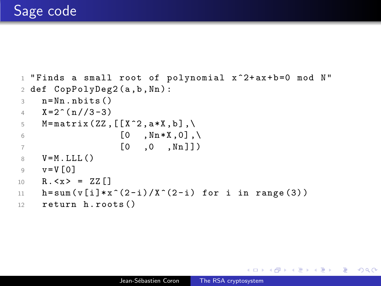```
1 "Finds a small root of polynomial x<sup>2</sup>+ax+b=0 mod N"
2 def CopPolyDeg2 (a ,b , Nn ) :
3 \qquad n = Nn \quad n \text{ bits} ()
4 X = 2^{(n)}/3 - 35 M = matrix (ZZ, [[X^2, a*X, b], \setminus6 [0, Nn*X, 0], \setminus7 [0 ,0 , Nn ]])
8 \qquad V = M, LLL()
9 v = V [0]10 R . < x > = ZZ []
11 h = sum (v[i]*x^-(2-i)/x^-(2-i) for i in range (3))
12 return h. roots ()
```
∢ 何 ▶ イ ヨ ▶ イ ヨ ▶ ...

∍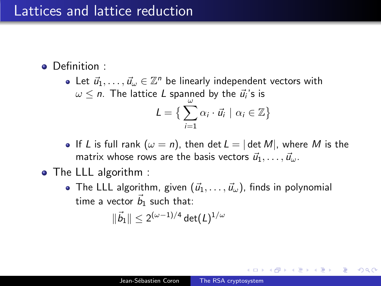#### Lattices and lattice reduction

- Definition :
	- Let  $\vec{u}_1, \ldots, \vec{u}_{\omega} \in \mathbb{Z}^n$  be linearly independent vectors with  $\omega \leq$   $n.$  The lattice  $L$  spanned by the  $\vec{u_i}$ 's is  $L = \left\{ \sum_{i=1}^{N} \alpha_i \cdot \vec{u}_i \mid \alpha_i \in \mathbb{Z} \right\}$  $i=1$
	- If L is full rank  $(\omega = n)$ , then det  $L = |\det M|$ , where M is the matrix whose rows are the basis vectors  $\vec{u}_1, \ldots, \vec{u}_\omega$ .
- The LLL algorithm :
	- The LLL algorithm, given  $(\vec{u}_1, \ldots, \vec{u}_\omega)$ , finds in polynomial time a vector  $\vec{b}_1$  such that:

$$
\|\vec{b}_1\|\leq 2^{(\omega-1)/4}\det(L)^{1/\omega}
$$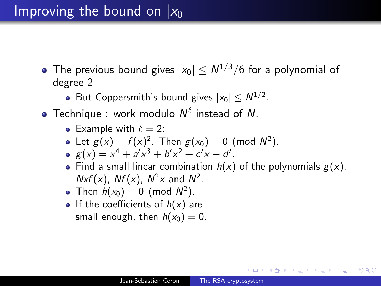- The previous bound gives  $|x_0| \leq N^{1/3}/6$  for a polynomial of degree 2
	- But Coppersmith's bound gives  $|x_0| \leq N^{1/2}$ .
- Technique : work modulo  $N^{\ell}$  instead of N.
	- Example with  $\ell = 2$ :
	- Let  $g(x) = f(x)^2$ . Then  $g(x_0) = 0$  (mod  $N^2$ ).
	- $g(x) = x^4 + a'x^3 + b'x^2 + c'x + d'.$
	- Find a small linear combination  $h(x)$  of the polynomials  $g(x)$ ,  $Nxf(x)$ ,  $Nf(x)$ ,  $N^2x$  and  $N^2$ .
	- Then  $h(x_0) = 0$  (mod  $N^2$ ).
	- If the coefficients of  $h(x)$  are small enough, then  $h(x_0) = 0$ .

母 ▶ ヨ ヨ ▶ ヨ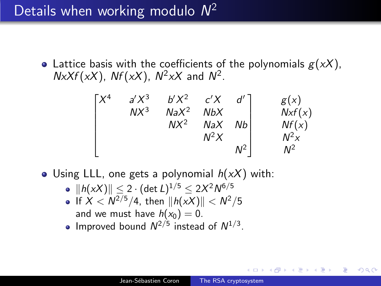# Details when working modulo  $N^2$

• Lattice basis with the coefficients of the polynomials  $g(xX)$ ,  $NxXf(xx)$ ,  $Nf(xx)$ ,  $N^2xX$  and  $N^2$ .

$$
\begin{bmatrix}\nX^4 & a'X^3 & b'X^2 & c'X & d' \\
& NX^3 & NaX^2 & NbX & & Nx f(x) \\
&& NX^2 & NaX & Nb & & Nf(x) \\
&& & N^2X & & N^2\n\end{bmatrix}
$$

- Using LLL, one gets a polynomial  $h(xX)$  with:
	- $\|h(xX)\| \leq 2 \cdot (\det L)^{1/5} \leq 2X^2 N^{6/5}$
	- If  $X < N^{2/5}/4$ , then  $||h(xX)|| < N^2/5$ and we must have  $h(x_0) = 0$ .
	- Improved bound  $N^{2/5}$  instead of  $N^{1/3}$ .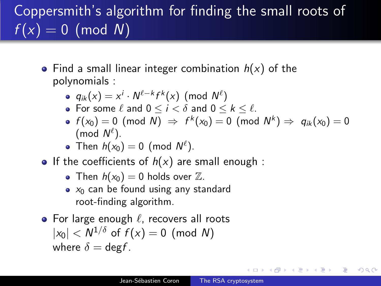# Coppersmith's algorithm for finding the small roots of  $f(x) = 0 \pmod{N}$

- Find a small linear integer combination  $h(x)$  of the polynomials :
	- $q_{ik}(x) = x^i \cdot N^{\ell-k} f^k(x) \pmod{N^{\ell}}$
	- For some  $\ell$  and  $0 \le i < \delta$  and  $0 \le k \le \ell$ .
	- $f(x_0) = 0 \pmod{\mathsf{N}} \Rightarrow f^k(x_0) = 0 \pmod{\mathsf{N}^k} \Rightarrow q_{ik}(x_0) = 0$ (mod  $N^{\ell}$ ).
	- Then  $h(x_0) = 0$  (mod  $N^{\ell}$ ).
- If the coefficients of  $h(x)$  are small enough :
	- Then  $h(x_0) = 0$  holds over  $\mathbb{Z}$ .
	- $\bullet$   $x_0$  can be found using any standard root-finding algorithm.
- For large enough  $\ell$ , recovers all roots  $|x_0| < N^{1/\delta}$  of  $f(x) = 0$  (mod N) where  $\delta = \text{deg} f$ .

伊 ▶ ヨ ヨ ▶ ヨ ヨ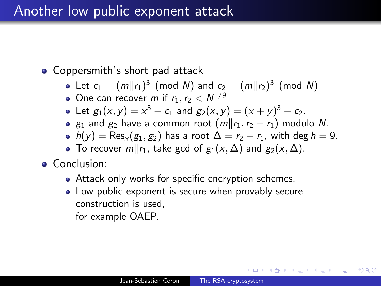#### Another low public exponent attack

#### • Coppersmith's short pad attack

- Let  $c_1 = (m||r_1)^3 \pmod{N}$  and  $c_2 = (m||r_2)^3 \pmod{N}$
- One can recover m if  $r_1, r_2 < N^{1/9}$
- Let  $g_1(x, y) = x^3 c_1$  and  $g_2(x, y) = (x + y)^3 c_2$ .
- $g_1$  and  $g_2$  have a common root  $(m||r_1, r_2 r_1)$  modulo N.
- $h(y) = \text{Res}_{x}(g_1, g_2)$  has a root  $\Delta = r_2 r_1$ , with deg  $h = 9$ .
- To recover  $m||r_1$ , take gcd of  $g_1(x, \Delta)$  and  $g_2(x, \Delta)$ .
- **•** Conclusion:
	- Attack only works for specific encryption schemes.
	- Low public exponent is secure when provably secure construction is used, for example OAEP.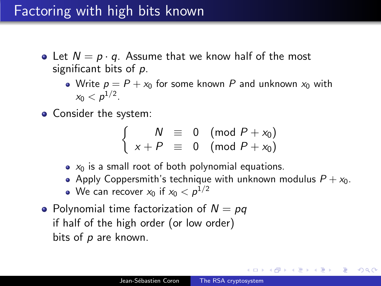## Factoring with high bits known

- Let  $N = p \cdot q$ . Assume that we know half of the most significant bits of p.
	- Write  $p = P + x_0$  for some known P and unknown  $x_0$  with  $x_0 < p^{1/2}$ .
- Consider the system:

$$
\left\{\n\begin{array}{rcl}\nN & \equiv & 0 \pmod{P + x_0} \\
x + P & \equiv & 0 \pmod{P + x_0}\n\end{array}\n\right.
$$

- $\bullet$   $x_0$  is a small root of both polynomial equations.
- Apply Coppersmith's technique with unknown modulus  $P + x_0$ .
- We can recover  $x_0$  if  $x_0 < \rho^{1/2}$
- Polynomial time factorization of  $N = pq$ if half of the high order (or low order) bits of  $p$  are known.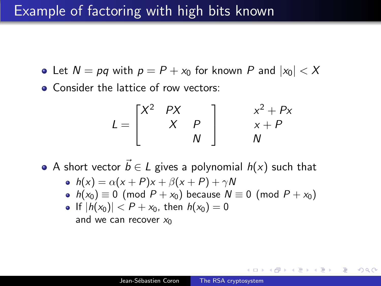#### Example of factoring with high bits known

- Let  $N = pq$  with  $p = P + x_0$  for known P and  $|x_0| < X$
- Consider the lattice of row vectors:

$$
L = \begin{bmatrix} X^2 & PX & & & & & x^2 + Px \\ & X & P & & & x + P \\ & & N & & & N \end{bmatrix}
$$

A short vector  $\vec{b} \in L$  gives a polynomial  $h(x)$  such that

$$
\bullet \ \ h(x) = \alpha(x+P)x + \beta(x+P) + \gamma N
$$

•  $h(x_0) \equiv 0 \pmod{P + x_0}$  because  $N \equiv 0 \pmod{P + x_0}$ 

• If 
$$
|h(x_0)| < P + x_0
$$
, then  $h(x_0) = 0$   
and we can recover  $x_0$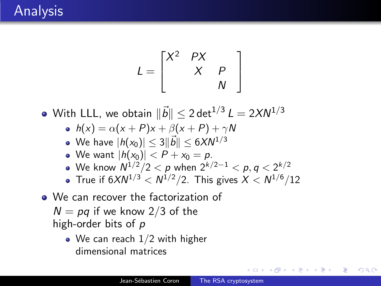$$
L = \begin{bmatrix} X^2 & PX & & \\ & X & P & \\ & & W & \end{bmatrix}
$$

With LLL, we obtain  $\|\vec{b}\| \leq 2\, \mathsf{det}^{1/3} \, \mathsf{L} = 2X N^{1/3}$ 

 $h(x) = \alpha(x + P)x + \beta(x + P) + \gamma N$ 

$$
\bullet\;\;\mathsf{We\; have}\;|h(x_0)|\leq 3\|\vec b\|\leq 6XN^{1/3}
$$

- We want  $|h(x_0)| < P + x_0 = p$ .
- We know  $N^{1/2}/2 < \rho$  when  $2^{k/2-1} < \rho, q < 2^{k/2}$
- True if  $6XN^{1/3} < N^{1/2}/2$ . This gives  $X < N^{1/6}/12$
- We can recover the factorization of
	- $N = pq$  if we know 2/3 of the high-order bits of  $p$ 
		- We can reach 1/2 with higher dimensional matrices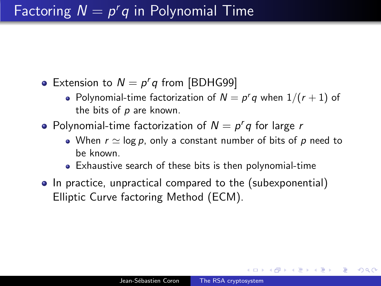# Factoring  $N = p^r q$  in Polynomial Time

- Extension to  $N = p'q$  from [BDHG99]
	- Polynomial-time factorization of  $N = p^r q$  when  $1/(r + 1)$  of the bits of  $p$  are known.
- Polynomial-time factorization of  $N = p^r q$  for large *r* 
	- When  $r \simeq \log p$ , only a constant number of bits of p need to be known.
	- Exhaustive search of these bits is then polynomial-time
- In practice, unpractical compared to the (subexponential) Elliptic Curve factoring Method (ECM).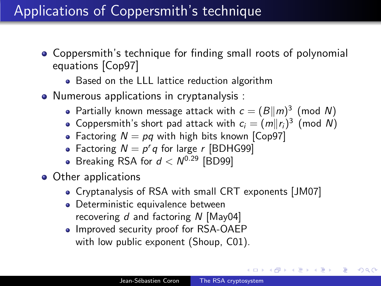# Applications of Coppersmith's technique

- Coppersmith's technique for finding small roots of polynomial equations [Cop97]
	- Based on the LLL lattice reduction algorithm
- Numerous applications in cryptanalysis :
	- Partially known message attack with  $c = (B||m)^3$  (mod N)
	- Coppersmith's short pad attack with  $c_i = (m||r_i)^3$  (mod N)
	- Factoring  $N = pq$  with high bits known [Cop97]
	- Factoring  $N = p^r q$  for large r [BDHG99]
	- Breaking RSA for  $d < N^{0.29}$  [BD99]
- Other applications
	- Cryptanalysis of RSA with small CRT exponents [JM07]
	- Deterministic equivalence between recovering  $d$  and factoring N [May04]
	- Improved security proof for RSA-OAEP with low public exponent (Shoup, C01).

**母 ▶ (三 ) (**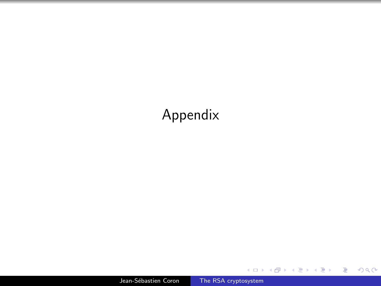## Appendix

Jean-Sébastien Coron [The RSA cryptosystem](#page-0-0)

**K ロ ▶ K 御 ▶ K 君 ▶ K 君 ▶** 

重